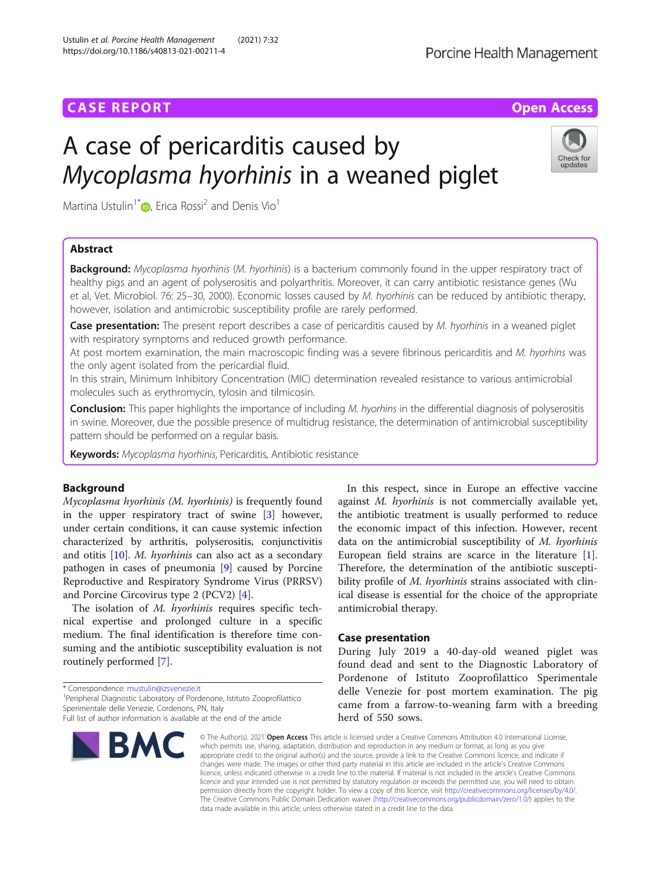# **CASE REPORT CASE ACCESS**

# A case of pericarditis caused by Mycopl[as](http://orcid.org/0000-0001-9672-5572)ma hyorhinis in a weaned piglet



Martina Ustulin<sup>1\*</sup>  $\bullet$ , Erica Rossi<sup>2</sup> and Denis Vio<sup>1</sup>

# Abstract

**Background:** Mycoplasma hyorhinis (M. hyorhinis) is a bacterium commonly found in the upper respiratory tract of healthy pigs and an agent of polyserositis and polyarthritis. Moreover, it can carry antibiotic resistance genes (Wu et al, Vet. Microbiol. 76: 25–30, 2000). Economic losses caused by M. hyorhinis can be reduced by antibiotic therapy, however, isolation and antimicrobic susceptibility profile are rarely performed.

Case presentation: The present report describes a case of pericarditis caused by M. hyorhinis in a weaned piglet with respiratory symptoms and reduced growth performance.

At post mortem examination, the main macroscopic finding was a severe fibrinous pericarditis and M. hyorhins was the only agent isolated from the pericardial fluid.

In this strain, Minimum Inhibitory Concentration (MIC) determination revealed resistance to various antimicrobial molecules such as erythromycin, tylosin and tilmicosin.

**Conclusion:** This paper highlights the importance of including M. hyorhins in the differential diagnosis of polyserositis in swine. Moreover, due the possible presence of multidrug resistance, the determination of antimicrobial susceptibility pattern should be performed on a regular basis.

Keywords: Mycoplasma hyorhinis, Pericarditis, Antibiotic resistance

# Background

Mycoplasma hyorhinis (M. hyorhinis) is frequently found in the upper respiratory tract of swine [\[3](#page-2-0)] however, under certain conditions, it can cause systemic infection characterized by arthritis, polyserositis, conjunctivitis and otitis [[10](#page-3-0)]. M. hyorhinis can also act as a secondary pathogen in cases of pneumonia [[9](#page-3-0)] caused by Porcine Reproductive and Respiratory Syndrome Virus (PRRSV) and Porcine Circovirus type 2 (PCV2) [\[4](#page-2-0)].

The isolation of M. hyorhinis requires specific technical expertise and prolonged culture in a specific medium. The final identification is therefore time consuming and the antibiotic susceptibility evaluation is not routinely performed [\[7](#page-2-0)].

\* Correspondence: [mustulin@izsvenezie.it](mailto:mustulin@izsvenezie.it) <sup>1</sup>

<sup>1</sup> Peripheral Diagnostic Laboratory of Pordenone, Istituto Zooprofilattico Sperimentale delle Venezie, Cordenons, PN, Italy

Full list of author information is available at the end of the article



In this respect, since in Europe an effective vaccine against M. hyorhinis is not commercially available yet, the antibiotic treatment is usually performed to reduce the economic impact of this infection. However, recent data on the antimicrobial susceptibility of M. hyorhinis European field strains are scarce in the literature [\[1](#page-2-0)]. Therefore, the determination of the antibiotic susceptibility profile of M. hyorhinis strains associated with clinical disease is essential for the choice of the appropriate antimicrobial therapy.

# Case presentation

During July 2019 a 40-day-old weaned piglet was found dead and sent to the Diagnostic Laboratory of Pordenone of Istituto Zooprofilattico Sperimentale delle Venezie for post mortem examination. The pig came from a farrow-to-weaning farm with a breeding herd of 550 sows.

© The Author(s), 2021 **Open Access** This article is licensed under a Creative Commons Attribution 4.0 International License, which permits use, sharing, adaptation, distribution and reproduction in any medium or format, as long as you give appropriate credit to the original author(s) and the source, provide a link to the Creative Commons licence, and indicate if changes were made. The images or other third party material in this article are included in the article's Creative Commons licence, unless indicated otherwise in a credit line to the material. If material is not included in the article's Creative Commons licence and your intended use is not permitted by statutory regulation or exceeds the permitted use, you will need to obtain permission directly from the copyright holder. To view a copy of this licence, visit [http://creativecommons.org/licenses/by/4.0/.](http://creativecommons.org/licenses/by/4.0/) The Creative Commons Public Domain Dedication waiver [\(http://creativecommons.org/publicdomain/zero/1.0/](http://creativecommons.org/publicdomain/zero/1.0/)) applies to the data made available in this article, unless otherwise stated in a credit line to the data.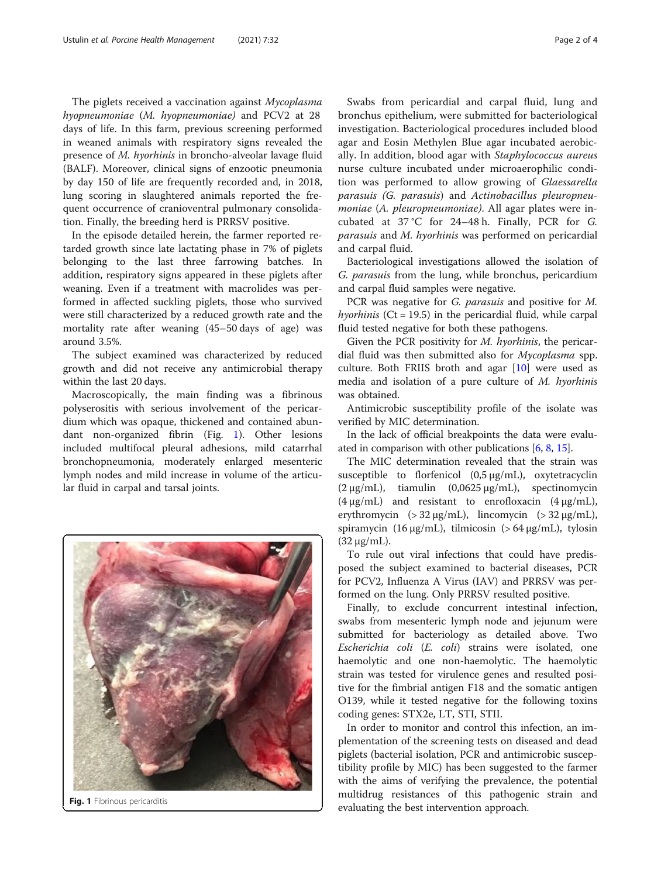The piglets received a vaccination against Mycoplasma hyopneumoniae (M. hyopneumoniae) and PCV2 at 28 days of life. In this farm, previous screening performed in weaned animals with respiratory signs revealed the presence of M. hyorhinis in broncho-alveolar lavage fluid (BALF). Moreover, clinical signs of enzootic pneumonia by day 150 of life are frequently recorded and, in 2018, lung scoring in slaughtered animals reported the frequent occurrence of cranioventral pulmonary consolidation. Finally, the breeding herd is PRRSV positive.

In the episode detailed herein, the farmer reported retarded growth since late lactating phase in 7% of piglets belonging to the last three farrowing batches. In addition, respiratory signs appeared in these piglets after weaning. Even if a treatment with macrolides was performed in affected suckling piglets, those who survived were still characterized by a reduced growth rate and the mortality rate after weaning (45–50 days of age) was around 3.5%.

The subject examined was characterized by reduced growth and did not receive any antimicrobial therapy within the last 20 days.

Macroscopically, the main finding was a fibrinous polyserositis with serious involvement of the pericardium which was opaque, thickened and contained abundant non-organized fibrin (Fig. 1). Other lesions included multifocal pleural adhesions, mild catarrhal bronchopneumonia, moderately enlarged mesenteric lymph nodes and mild increase in volume of the articular fluid in carpal and tarsal joints.



Swabs from pericardial and carpal fluid, lung and bronchus epithelium, were submitted for bacteriological investigation. Bacteriological procedures included blood agar and Eosin Methylen Blue agar incubated aerobically. In addition, blood agar with Staphylococcus aureus nurse culture incubated under microaerophilic condition was performed to allow growing of Glaessarella parasuis (G. parasuis) and Actinobacillus pleuropneumoniae (A. pleuropneumoniae). All agar plates were incubated at 37 °C for 24–48 h. Finally, PCR for G. parasuis and M. hyorhinis was performed on pericardial and carpal fluid.

Bacteriological investigations allowed the isolation of G. parasuis from the lung, while bronchus, pericardium and carpal fluid samples were negative.

PCR was negative for G. parasuis and positive for M. hyorhinis ( $Ct = 19.5$ ) in the pericardial fluid, while carpal fluid tested negative for both these pathogens.

Given the PCR positivity for M. hyorhinis, the pericardial fluid was then submitted also for Mycoplasma spp. culture. Both FRIIS broth and agar [[10\]](#page-3-0) were used as media and isolation of a pure culture of M. hyorhinis was obtained.

Antimicrobic susceptibility profile of the isolate was verified by MIC determination.

In the lack of official breakpoints the data were evaluated in comparison with other publications [[6](#page-2-0), [8,](#page-3-0) [15](#page-3-0)].

The MIC determination revealed that the strain was susceptible to florfenicol  $(0.5 \mu g/mL)$ , oxytetracyclin  $(2 \mu g/mL)$ , tiamulin  $(0.0625 \mu g/mL)$ , spectinomycin  $(4 \mu g/mL)$  and resistant to enrofloxacin  $(4 \mu g/mL)$ , erythromycin  $(> 32 \mu g/mL)$ , lincomycin  $(> 32 \mu g/mL)$ , spiramycin (16  $\mu$ g/mL), tilmicosin (> 64  $\mu$ g/mL), tylosin (32 μg/mL).

To rule out viral infections that could have predisposed the subject examined to bacterial diseases, PCR for PCV2, Influenza A Virus (IAV) and PRRSV was performed on the lung. Only PRRSV resulted positive.

Finally, to exclude concurrent intestinal infection, swabs from mesenteric lymph node and jejunum were submitted for bacteriology as detailed above. Two Escherichia coli (E. coli) strains were isolated, one haemolytic and one non-haemolytic. The haemolytic strain was tested for virulence genes and resulted positive for the fimbrial antigen F18 and the somatic antigen O139, while it tested negative for the following toxins coding genes: STX2e, LT, STI, STII.

In order to monitor and control this infection, an implementation of the screening tests on diseased and dead piglets (bacterial isolation, PCR and antimicrobic susceptibility profile by MIC) has been suggested to the farmer with the aims of verifying the prevalence, the potential multidrug resistances of this pathogenic strain and Fig. 1 Fibrinous pericarditis<br>evaluating the best intervention approach.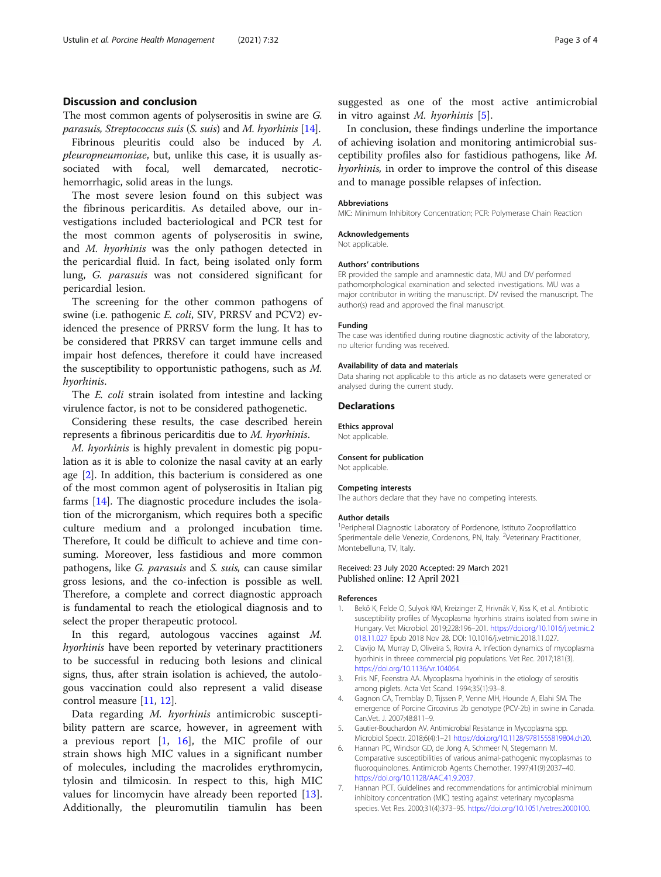# <span id="page-2-0"></span>Discussion and conclusion

The most common agents of polyserositis in swine are G. parasuis, Streptococcus suis (S. suis) and M. hyorhinis [\[14\]](#page-3-0).

Fibrinous pleuritis could also be induced by A. pleuropneumoniae, but, unlike this case, it is usually associated with focal, well demarcated, necrotichemorrhagic, solid areas in the lungs.

The most severe lesion found on this subject was the fibrinous pericarditis. As detailed above, our investigations included bacteriological and PCR test for the most common agents of polyserositis in swine, and M. hyorhinis was the only pathogen detected in the pericardial fluid. In fact, being isolated only form lung, G. parasuis was not considered significant for pericardial lesion.

The screening for the other common pathogens of swine (i.e. pathogenic E. coli, SIV, PRRSV and PCV2) evidenced the presence of PRRSV form the lung. It has to be considered that PRRSV can target immune cells and impair host defences, therefore it could have increased the susceptibility to opportunistic pathogens, such as M. hyorhinis.

The *E. coli* strain isolated from intestine and lacking virulence factor, is not to be considered pathogenetic.

Considering these results, the case described herein represents a fibrinous pericarditis due to M. hyorhinis.

M. hyorhinis is highly prevalent in domestic pig population as it is able to colonize the nasal cavity at an early age [2]. In addition, this bacterium is considered as one of the most common agent of polyserositis in Italian pig farms [\[14](#page-3-0)]. The diagnostic procedure includes the isolation of the microrganism, which requires both a specific culture medium and a prolonged incubation time. Therefore, It could be difficult to achieve and time consuming. Moreover, less fastidious and more common pathogens, like G. parasuis and S. suis, can cause similar gross lesions, and the co-infection is possible as well. Therefore, a complete and correct diagnostic approach is fundamental to reach the etiological diagnosis and to select the proper therapeutic protocol.

In this regard, autologous vaccines against M. hyorhinis have been reported by veterinary practitioners to be successful in reducing both lesions and clinical signs, thus, after strain isolation is achieved, the autologous vaccination could also represent a valid disease control measure [\[11](#page-3-0), [12](#page-3-0)].

Data regarding M. hyorhinis antimicrobic susceptibility pattern are scarce, however, in agreement with a previous report  $[1, 16]$  $[1, 16]$ , the MIC profile of our strain shows high MIC values in a significant number of molecules, including the macrolides erythromycin, tylosin and tilmicosin. In respect to this, high MIC values for lincomycin have already been reported [\[13](#page-3-0)]. Additionally, the pleuromutilin tiamulin has been suggested as one of the most active antimicrobial in vitro against  $M$ . hyorhinis [5].

In conclusion, these findings underline the importance of achieving isolation and monitoring antimicrobial susceptibility profiles also for fastidious pathogens, like M. hyorhinis, in order to improve the control of this disease and to manage possible relapses of infection.

#### Abbreviations

MIC: Minimum Inhibitory Concentration; PCR: Polymerase Chain Reaction

#### Acknowledgements

Not applicable.

#### Authors' contributions

ER provided the sample and anamnestic data, MU and DV performed pathomorphological examination and selected investigations. MU was a major contributor in writing the manuscript. DV revised the manuscript. The author(s) read and approved the final manuscript.

#### Funding

The case was identified during routine diagnostic activity of the laboratory, no ulterior funding was received.

#### Availability of data and materials

Data sharing not applicable to this article as no datasets were generated or analysed during the current study.

#### Declarations

Ethics approval

Not applicable.

# Consent for publication

Not applicable.

### Competing interests

The authors declare that they have no competing interests.

#### Author details

<sup>1</sup> Peripheral Diagnostic Laboratory of Pordenone, Istituto Zooprofilattico Sperimentale delle Venezie, Cordenons, PN, Italy. <sup>2</sup>Veterinary Practitioner, Montebelluna, TV, Italy.

#### Received: 23 July 2020 Accepted: 29 March 2021 Published online: 12 April 2021

#### References

- 1. Bekő K, Felde O, Sulyok KM, Kreizinger Z, Hrivnák V, Kiss K, et al. Antibiotic susceptibility profiles of Mycoplasma hyorhinis strains isolated from swine in Hungary. Vet Microbiol. 2019;228:196–201. [https://doi.org/10.1016/j.vetmic.2](https://doi.org/10.1016/j.vetmic.2018.11.027) [018.11.027](https://doi.org/10.1016/j.vetmic.2018.11.027) Epub 2018 Nov 28. DOI: 10.1016/j.vetmic.2018.11.027.
- 2. Clavijo M, Murray D, Oliveira S, Rovira A. Infection dynamics of mycoplasma hyorhinis in threee commercial pig populations. Vet Rec. 2017;181(3). [https://doi.org/10.1136/vr.104064.](https://doi.org/10.1136/vr.104064)
- 3. Friis NF, Feenstra AA. Mycoplasma hyorhinis in the etiology of serositis among piglets. Acta Vet Scand. 1994;35(1):93–8.
- 4. Gagnon CA, Tremblay D, Tijssen P, Venne MH, Hounde A, Elahi SM. The emergence of Porcine Circovirus 2b genotype (PCV-2b) in swine in Canada. Can.Vet. J. 2007;48:811–9.
- 5. Gautier-Bouchardon AV. Antimicrobial Resistance in Mycoplasma spp. Microbiol Spectr. 2018;6(4):1–21 <https://doi.org/10.1128/9781555819804.ch20>.
- 6. Hannan PC, Windsor GD, de Jong A, Schmeer N, Stegemann M. Comparative susceptibilities of various animal-pathogenic mycoplasmas to fluoroquinolones. Antimicrob Agents Chemother. 1997;41(9):2037–40. [https://doi.org/10.1128/AAC.41.9.2037.](https://doi.org/10.1128/AAC.41.9.2037)
- 7. Hannan PCT. Guidelines and recommendations for antimicrobial minimum inhibitory concentration (MIC) testing against veterinary mycoplasma species. Vet Res. 2000;31(4):373–95. [https://doi.org/10.1051/vetres:2000100.](https://doi.org/10.1051/vetres:2000100)